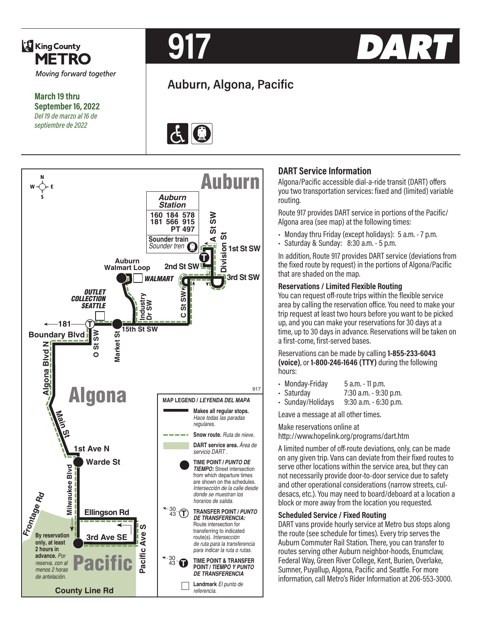

**March 19 thru September 16, 2022** *Del 19 de marzo al 16 de septiembre de 2022*



# **Auburn, Algona, Pacific**





### **DART Service Information**

Algona/Pacific accessible dial-a-ride transit (DART) offers you two transportation services: fixed and (limited) variable routing.

Route 917 provides DART service in portions of the Pacific/ Algona area (see map) at the following times:

- Monday thru Friday (except holidays): 5 a.m. 7 p.m.
- Saturday & Sunday: 8:30 a.m. 5 p.m.

In addition, Route 917 provides DART service (deviations from the fixed route by request) in the portions of Algona/Pacific that are shaded on the map.

#### **Reservations / Limited Flexible Routing**

You can request off-route trips within the flexible service area by calling the reservation office. You need to make your trip request at least two hours before you want to be picked up, and you can make your reservations for 30 days at a time, up to 30 days in advance. Reservations will be taken on a first-come, first-served bases.

Reservations can be made by calling **1-855-233-6043 (voice)**, or **1-800-246-1646 (TTY)** during the following hours:

- Monday-Friday 5 a.m. 11 p.m.
- Saturday 7:30 a.m. 9:30 p.m.

• Sunday/Holidays 9:30 a.m. - 6:30 p.m.

Leave a message at all other times.

Make reservations online at http://www.hopelink.org/programs/dart.htm

A limited number of off-route deviations, only, can be made on any given trip. Vans can deviate from their fixed routes to serve other locations within the service area, but they can not necessarily provide door-to-door service due to safety and other operational considerations (narrow streets, culdesacs, etc.). You may need to board/deboard at a location a block or more away from the location you requested.

#### **Scheduled Service / Fixed Routing**

DART vans provide hourly service at Metro bus stops along the route (see schedule for times). Every trip serves the Auburn Commuter Rail Station. There, you can transfer to routes serving other Auburn neighbor-hoods, Enumclaw, Federal Way, Green River College, Kent, Burien, Overlake, Sumner, Puyallup, Algona, Pacific and Seattle. For more information, call Metro's Rider Information at 206-553-3000.